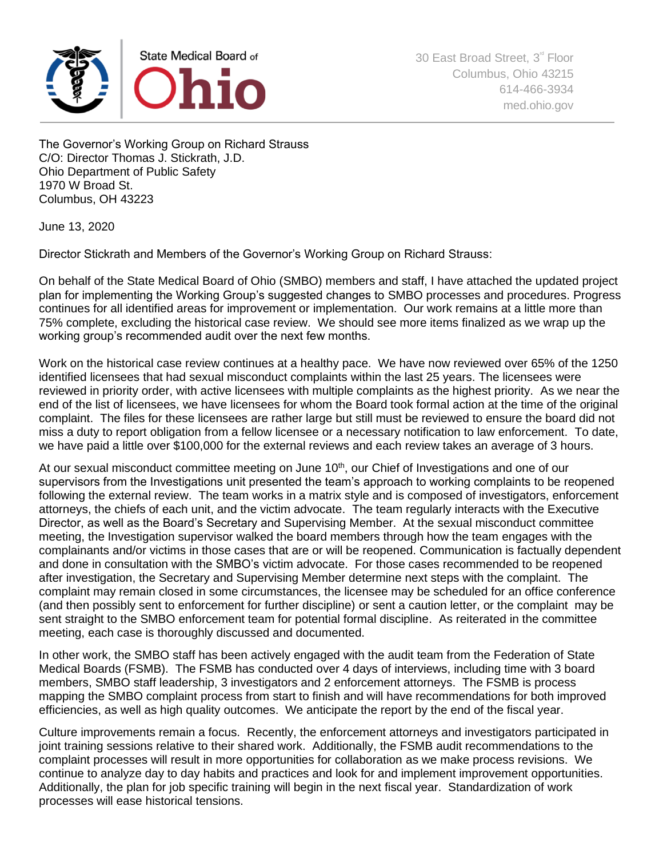

The Governor's Working Group on Richard Strauss C/O: Director Thomas J. Stickrath, J.D. Ohio Department of Public Safety 1970 W Broad St. Columbus, OH 43223

June 13, 2020

Director Stickrath and Members of the Governor's Working Group on Richard Strauss:

On behalf of the State Medical Board of Ohio (SMBO) members and staff, I have attached the updated project plan for implementing the Working Group's suggested changes to SMBO processes and procedures. Progress continues for all identified areas for improvement or implementation. Our work remains at a little more than 75% complete, excluding the historical case review. We should see more items finalized as we wrap up the working group's recommended audit over the next few months.

Work on the historical case review continues at a healthy pace. We have now reviewed over 65% of the 1250 identified licensees that had sexual misconduct complaints within the last 25 years. The licensees were reviewed in priority order, with active licensees with multiple complaints as the highest priority. As we near the end of the list of licensees, we have licensees for whom the Board took formal action at the time of the original complaint. The files for these licensees are rather large but still must be reviewed to ensure the board did not miss a duty to report obligation from a fellow licensee or a necessary notification to law enforcement. To date, we have paid a little over \$100,000 for the external reviews and each review takes an average of 3 hours.

At our sexual misconduct committee meeting on June 10<sup>th</sup>, our Chief of Investigations and one of our supervisors from the Investigations unit presented the team's approach to working complaints to be reopened following the external review. The team works in a matrix style and is composed of investigators, enforcement attorneys, the chiefs of each unit, and the victim advocate. The team regularly interacts with the Executive Director, as well as the Board's Secretary and Supervising Member. At the sexual misconduct committee meeting, the Investigation supervisor walked the board members through how the team engages with the complainants and/or victims in those cases that are or will be reopened. Communication is factually dependent and done in consultation with the SMBO's victim advocate. For those cases recommended to be reopened after investigation, the Secretary and Supervising Member determine next steps with the complaint. The complaint may remain closed in some circumstances, the licensee may be scheduled for an office conference (and then possibly sent to enforcement for further discipline) or sent a caution letter, or the complaint may be sent straight to the SMBO enforcement team for potential formal discipline. As reiterated in the committee meeting, each case is thoroughly discussed and documented.

In other work, the SMBO staff has been actively engaged with the audit team from the Federation of State Medical Boards (FSMB). The FSMB has conducted over 4 days of interviews, including time with 3 board members, SMBO staff leadership, 3 investigators and 2 enforcement attorneys. The FSMB is process mapping the SMBO complaint process from start to finish and will have recommendations for both improved efficiencies, as well as high quality outcomes. We anticipate the report by the end of the fiscal year.

Culture improvements remain a focus. Recently, the enforcement attorneys and investigators participated in joint training sessions relative to their shared work. Additionally, the FSMB audit recommendations to the complaint processes will result in more opportunities for collaboration as we make process revisions. We continue to analyze day to day habits and practices and look for and implement improvement opportunities. Additionally, the plan for job specific training will begin in the next fiscal year. Standardization of work processes will ease historical tensions.